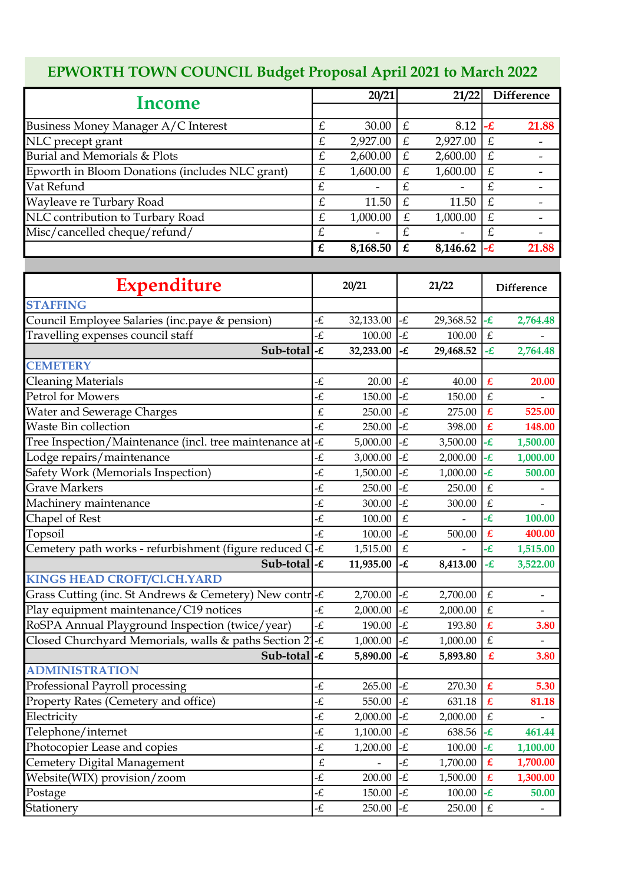## EPWORTH TOWN COUNCIL Budget Proposal April 2021 to March 2022

|                                                         |                | 20/21                         |                | 21/22          |                            | <b>Difference</b>        |  |
|---------------------------------------------------------|----------------|-------------------------------|----------------|----------------|----------------------------|--------------------------|--|
| Income                                                  |                |                               |                |                |                            |                          |  |
| Business Money Manager A/C Interest                     | $\pounds$      | 30.00                         | £              | 8.12           | -£                         | 21.88                    |  |
| NLC precept grant                                       | £              | 2,927.00                      | £              | 2,927.00       | £                          |                          |  |
| Burial and Memorials & Plots                            | £              | 2,600.00                      | $\pounds$      | 2,600.00       | £                          |                          |  |
| Epworth in Bloom Donations (includes NLC grant)         | £              | 1,600.00                      | £              | 1,600.00       | £                          |                          |  |
| Vat Refund                                              | £              |                               | £              |                | $\overline{f}$             | -                        |  |
| Wayleave re Turbary Road                                | $\overline{E}$ | 11.50                         | £              | 11.50          | $\overline{E}$             | $\overline{\phantom{a}}$ |  |
| NLC contribution to Turbary Road                        | £              | 1,000.00                      | £              | 1,000.00       | £                          |                          |  |
| Misc/cancelled cheque/refund/                           | £              |                               | £              |                | £                          |                          |  |
|                                                         | $\overline{f}$ | 8,168.50                      | $\overline{f}$ | 8,146.62       | -£                         | 21.88                    |  |
|                                                         |                |                               |                |                |                            |                          |  |
| Expenditure                                             |                | 20/21                         |                | 21/22          |                            | <b>Difference</b>        |  |
| <b>STAFFING</b>                                         |                |                               |                |                |                            |                          |  |
| Council Employee Salaries (inc.paye & pension)          | £              | 32,133.00                     | -£             | 29,368.52      | -£                         | 2,764.48                 |  |
| Travelling expenses council staff                       | £              | 100.00                        | £              | 100.00         | £                          |                          |  |
| Sub-total                                               | -£             | 32,233.00                     | -£             | 29,468.52      | -£                         | 2,764.48                 |  |
| <b>CEMETERY</b>                                         |                |                               |                |                |                            |                          |  |
| <b>Cleaning Materials</b>                               | -£             | 20.00                         | -£             | 40.00          | £                          | 20.00                    |  |
| <b>Petrol for Mowers</b>                                | -£             | 150.00                        | -£             | 150.00         | £                          |                          |  |
| Water and Sewerage Charges                              | £              | 250.00                        | -£             | 275.00         | £                          | 525.00                   |  |
| Waste Bin collection                                    | -£             | 250.00                        | £              | 398.00         | £                          | 148.00                   |  |
| Tree Inspection/Maintenance (incl. tree maintenance at  | $-E$           | 5,000.00                      | -£             | 3,500.00       | -£                         | 1,500.00                 |  |
| Lodge repairs/maintenance                               | -£             | 3,000.00                      | -£             | 2,000.00       | -£                         | 1,000.00                 |  |
| Safety Work (Memorials Inspection)                      | -£             | 1,500.00                      | -£             | 1,000.00       | -£                         | 500.00                   |  |
| <b>Grave Markers</b>                                    | -£             | 250.00                        | -£             | 250.00         | £                          |                          |  |
| Machinery maintenance                                   | -£             | 300.00                        | -£             | 300.00         | £                          |                          |  |
| Chapel of Rest                                          | £              | 100.00                        | £              |                | -£                         | 100.00                   |  |
| Topsoil                                                 | -£             | 100.00                        | -£             | 500.00         | £                          | 400.00                   |  |
| Cemetery path works - refurbishment (figure reduced C   | -£             | 1,515.00                      | $\pounds$      | $\overline{a}$ | -£                         | 1,515.00                 |  |
| Sub-total $ \text{-} \pounds$                           |                | 11,935.00 $ \text{-} \pounds$ |                | 8,413.00       | $-E$                       | 3,522.00                 |  |
| <b>KINGS HEAD CROFT/Cl.CH.YARD</b>                      |                |                               |                |                |                            |                          |  |
| Grass Cutting (inc. St Andrews & Cemetery) New contre-£ |                | 2,700.00                      | -£             | 2,700.00       | $\pounds$                  | $\overline{\phantom{0}}$ |  |
| Play equipment maintenance/C19 notices                  | -£             | 2,000.00                      | -£             | 2,000.00       | $\pounds$                  | $\overline{\phantom{0}}$ |  |
| RoSPA Annual Playground Inspection (twice/year)         | -£             | 190.00                        | -£             | 193.80         | $\pmb{\pounds}$            | 3.80                     |  |
| Closed Churchyard Memorials, walls & paths Section 21   | -£             | 1,000.00                      | -£             | 1,000.00       | $\pounds$                  |                          |  |
| Sub-total $-\epsilon$                                   |                | 5,890.00                      | -£             | 5,893.80       | $\pmb{\pounds}$            | 3.80                     |  |
| <b>ADMINISTRATION</b>                                   |                |                               |                |                |                            |                          |  |
| Professional Payroll processing                         | -£             | 265.00                        | -£             | 270.30         | $\pmb{\pounds}$            | 5.30                     |  |
| Property Rates (Cemetery and office)                    | -£             | 550.00                        | -£             | 631.18         | $\pmb{\pounds}$            | 81.18                    |  |
| Electricity                                             | -£             | 2,000.00                      | -£             | 2,000.00       | $\pounds$                  |                          |  |
| Telephone/internet                                      | -£             | 1,100.00                      | -£             | 638.56         | $-\mathcal{L}$             | 461.44                   |  |
| Photocopier Lease and copies                            | -£             | 1,200.00                      | -£             | 100.00         | $-\mathbf{E}$              | 1,100.00                 |  |
| Cemetery Digital Management                             | $\pounds$      |                               | £              | 1,700.00       | $\boldsymbol{\mathbf{f}}$  | 1,700.00                 |  |
| Website(WIX) provision/zoom                             | -£             | 200.00                        | -£             | 1,500.00       | $\boldsymbol{\mathcal{L}}$ | 1,300.00                 |  |
| Postage                                                 | £              | 150.00                        | -£             | 100.00         | -£                         | 50.00                    |  |
| Stationery                                              | -£             | 250.00                        | -£             | 250.00         | $\pounds$                  |                          |  |